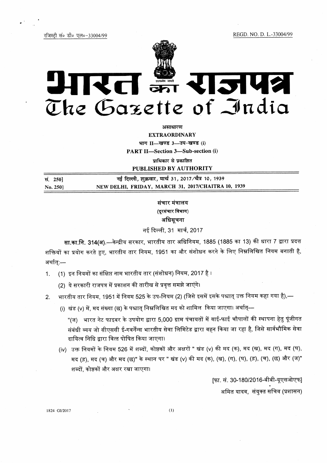REGD. NO. D. L.-33004/99

रजिस्टी सं० डी० एल०-33004/99



# REI # RISH? The Gazette of India

असाधारण **EXTRAORDINARY** भाग II-खण्ड 3-उप-खण्ड (i) **PART II-Section 3-Sub-section (i)** 

प्राधिकार से प्रकाशित

PUBLISHED BY AUTHORITY

| सं. 250] | नई दिल्ली, शुक्रवार, मार्च 31, 2017 ∕चैत्र 10, 1939 |
|----------|-----------------------------------------------------|
| No. 250  | NEW DELHI, FRIDAY, MARCH 31, 2017/CHAITRA 10, 1939  |

# संचार मंत्रालय (दूरसंचार विभाग) अधिसूचना

नई दिल्ली, 31 मार्च, 2017

सा.का.नि. 314(अ).—केन्द्रीय सरकार, भारतीय तार अधिनियम, 1885 (1885 का 13) की धारा 7 द्वारा प्रदत्त शक्तियों का प्रयोग करते हुए, भारतीय तार नियम, 1951 का और संशोधन करने के लिए निम्नलिखित नियम बनाती है, अर्थात:—

- (1) इन नियमों का संक्षिप्त नाम भारतीय तार (संशोधन) नियम, 2017 है ।  $1.$ 
	- (2) ये सरकारी राजपत्र में प्रकाशन की तारीख से प्रवृत्त समझे जाएंगे।
- भारतीय तार नियम. 1951 में नियम 525 के उप-नियम (2) (जिसे इसमें इसके पश्चात् उक्त नियम कहा गया है),—  $\mathcal{P}$ 
	- (i) खंड (ν) में, मद संख्या (छ) के पश्चात् निम्नलिखित मद को शामिल किया जाएगा। अर्थात्—

"(ज) भारत नेट फाइबर के उपयोग द्वारा 5,000 ग्राम पंचायतों में वाई-फाई चौपालों की स्थापना हेतु पूंजीगत संबंधी व्यय जो सीएससी ई-गवर्नेंन्स भारतीय सेवा लिमिटेड द्वारा वहन किया जा रहा है, जिसे सार्वभौमिक सेवा दायित्व निधि द्वारा वित्त पोषित किया जाएगा।

(iv) उक्त नियमों के नियम 526 में शब्दों, कोष्ठकों और अक्षरों " खंड (v) की मद (क), मद (ख), मद (ग), मद (घ), मद (ड़), मद (च) और मद (छ)" के स्थान पर " खंड (v) की मद (क), (ख), (ग), (घ), (ड़), (च), (छ) और (ज)" शब्दों, कोष्ठकों और अक्षर रखा जाएगा।

> [फा. सं. 30-180/2016-बीबी-यूएसओएफ] अमित यादव, संयुक्त सचिव (प्रशासन)

1824 GI/2017

 $(1)$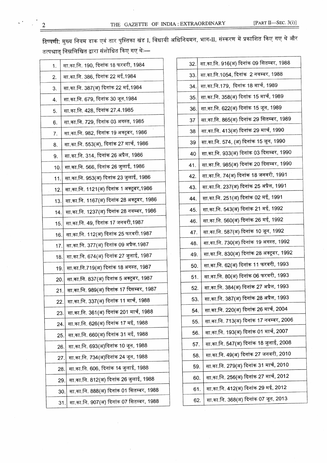टिप्पणी: मुख्य नियम डाक एवं तार पुस्तिका खंड I, विधायी अधिनियमन, भाग-II, संस्करण में प्रकाशित किए गए थे और तत्पश्चात् निम्नलिखित द्वारा संशोधित किए गए थेः—

| 1.  | सा.का.नि. 190, दिनांक 18 फरवरी, 1984            |
|-----|-------------------------------------------------|
| 2.  | सा.का.नि. 386, दिनांक 22 मई,1984                |
| 3.  | सा.का.नि. 387(अ) दिनांक 22 मई,1984              |
| 4.  | सा.का.नि. 679, दिनांक 30 जून,1984               |
| 5.  | सा.का.नि. 428, दिनांक 27.4.1985                 |
| 6.  | सा.का.नि. 729, दिनांक 03 अगस्त, 1985            |
| 7.  | सा.का.नि. 982, दिनांक 19 अक्टूबर, 1986          |
| 8.  | सा.का.नि. 553(अ), दिनांक 27 मार्च, 1986         |
| 9.  | सा.का.नि. 314, दिनांक 26 अप्रैल, 1986           |
| 10. | सा.का.नि. 566, दिनांक 26 जुलाई, 1986            |
| 11. | सा.का.नि. 953(अ) दिनांक 23 जुलाई, 1986          |
| 12. | सा.का.नि. 1121(अ) दिनांक 1 अक्टूबर,1986         |
| 13. | सा.का.नि. 1167(अ) दिनांक 28 अक्टूबर, 1986       |
| 14. | सा.का.नि. 1237(अ) दिनांक 28 नवम्बर, 1986        |
| 15. | सा.का.नि. 49, दिनांक 17 जनवरी,1987              |
| 16. | सा.का.नि. 112(अ) दिनांक 25 फरवरी.1987           |
| 17. | सा.का.नि. 377(अ) दिनांक 09 अप्रैल.1987          |
| 18. | सा.का.नि. 674(अ) दिनांक 27 जुलाई, 1987          |
| 19. | सा.का.नि.719(अ) दिनांक 18 अगस्त, 1987           |
| 20. | सा.का.नि. 837(अ) दिनांक 5 अक्टूबर, 1987         |
| 21. | सा.का.नि. 989(अ) दिनांक 17 दिसम्बर, 1987        |
| 22. | सा.का.नि. 337(अ) दिनांक 11 मार्च, 1988          |
| 23. | सा.का.नि. 361(अ) दिनांक 201 मार्च, 1988         |
| 24. | सा.का.नि. 626(अ) दिनांक 17 मई, 1988             |
| 25. | सा.का.नि. 660(अ) दिनांक 31 मई, 1988             |
| 26. | सा.का.नि. 693(अ)दिनांक 10 जून, 1988             |
| 27. | सा.का.नि. 734(अ)दिनांक 24 जून, 1988             |
| 28. | सा.का.नि. 606, दिनांक 14 जुलाई, 1988            |
|     | सा.का.नि. 812(अ) दिनांक 26 जुलाई, 1988<br>29.   |
|     | सा.का.नि. 888(अ) दिनांक 01 सितम्बर, 1988<br>30. |
|     | सा.का.नि. 907(अ) दिनांक 07 सितम्बर, 1988<br>31. |
|     |                                                 |

| 32. | सा.का.नि. 916(अ) दिनांक 09 सितम्बर, 1988 |
|-----|------------------------------------------|
| 33. | सा.का.नि.1054, दिनांक  2 नवम्बर, 1988    |
| 34. | सा.का.नि.179,  दिनांक 18 मार्च, 1989     |
| 35. | सा.का.नि. 358(अ) दिनांक 15 मार्च, 1989   |
| 36. | सा.का.नि. 622(अ) दिनांक 15 जून, 1989     |
| 37  | सा.का.नि. 865(अ) दिनांक 29 सितम्बर, 1989 |
| 38  | सा.का.नि. 413(अ) दिनांक 29 मार्च, 1990   |
| 39  | सा.का.नि. 574, (अ) दिनांक 15 जून, 1990   |
| 40  | सा.का.नि. 933(अ) दिनांक 03 दिसम्बर, 1990 |
| 41. | सा.का.नि. 985(अ) दिनांक 20 दिसम्बर, 1990 |
| 42. | सा.का.नि. 74(अ) दिनांक 18 जनवरी, 1991    |
| 43. | सा.का.नि. 237(अ) दिनांक 25 अप्रैल, 1991  |
| 44. | सा.का.नि. 251(अ) दिनांक 02 मई, 1991      |
| 45. | सा.का.नि. 543(अ) दिनांक 21 मई, 1992      |
| 46. | सा.का.नि. 560(अ) दिनांक 26 मई, 1992      |
| 47. | सा.का.नि. 587(अ) दिनांक 10 जून, 1992     |
| 48. | सा.का.नि. 730(अ) दिनांक 19 अगस्त, 1992   |
| 49. | सा.का.नि. 830(अ) दिनांक 28 अक्टूबर, 1992 |
| 50. | सा.का.नि. 62(अ) दिनांक 11 फरवरी, 1993    |
| 51. | सा.का.नि. 80(अ) दिनांक 06 फरवरी, 1993    |
| 52. | सा.का.नि. 384(अ) दिनांक 27 अप्रैल, 1993  |
| 53. | सा.का.नि. 387(अ) दिनांक 28 अप्रैल, 1993  |
| 54. | सा.का.नि. 220(अ) दिनांक 26 मार्च, 2004   |
| 55. | सा.का.नि. 713(अ) दिनांक 17 नवम्बर, 2006  |
| 56. | सा.का.नि. 193(अ) दिनांक 01 मार्च, 2007   |
| 57. | सा.का.नि. 547(अ) दिनांक 18 जुलाई, 2008   |
| 58. | सा.का.नि. 49(अ) दिनांक 27 जनवरी, 2010    |
| 59. | सा.का.नि. 279(अ) दिनांक 31 मार्च, 2010   |
| 60. | सा.का.नि. 256(अ) दिनांक 27 मार्च, 2012   |
| 61. | सा.का.नि. 412(अ) दिनांक 29 मई, 2012      |
| 62. | सा.का.नि. 368(अ) दिनांक 07 जून, 2013     |
|     |                                          |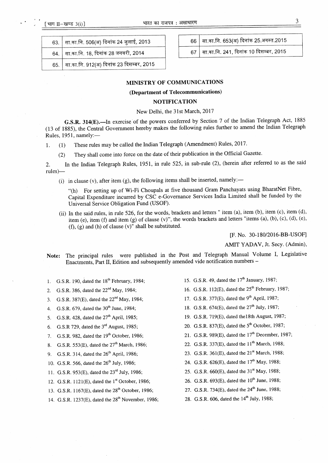r1

| 63. सा.का.नि. 506(अ) दिनांक 24 जुलाई, 2013     |
|------------------------------------------------|
| 64.   सा.का.नि. 18, दिनांक 28 जनवरी, 2014      |
| 65.   सा.का.नि. 912(अ) दिनांक 23 दिसम्बर, 2015 |

 $66$  सा.का.नि. 653(अ) दिनांक 25.अगस्त.2015

 $67$  सा.का.नि. 241, दिनांक 10 दिसम्बर, 2015

### MINISTRY OF COMMUNICATIONS

# (Department of Telecommunications)

## NOTIFICATION

#### New Delhi, the 31st March,2017

G.S.R. 314(E).—In exercise of the powers conferred by Section 7 of the Indian Telegraph Act, 1885 (13 of 1885), the Central Government hereby makes the following rules further to amend the Indian Telegraph Rules, 1951, namely:-

1. (1) These rules may be called the Indian Telegraph (Amendment) Rules, 2017.

(Z) They shall come into force on the date of their publication in the Official Gazette.

2. In the Indian Telegraph Rules, 1951, in rule 525, in sub-rule (2), (herein after referred to as the said rules)-

(i) in clause (v), after item (g), the following items shall be inserted, namely:—

"(h) For setting up of Wi-Fi Choupals at five thousand Gram Panchayats using BharatNet Fibre, Capital Expenditure incurred by CSC e-Govemance Services India Limited shall be funded by the Universal Service Obligation Fund (USOF).

(ii) In the said rules, in rule 526, for the words, brackets and letters " item (a), item (b), item (c), item (d), item (e), item (f) and item (g) of clause (v)", the words brackets and letters "items (a), (b), (c), (d), (e),  $(f)$ ,  $(g)$  and  $(h)$  of clause  $(v)$ " shall be substituted.

lF. No. 30-l 80/2016-BB-USOFI

AMIT YADAV, Jt. Secy. (Admin),

Note: The principal rules were published in the Post and Telegraph Manual Volume I, Legislative Enactments, Part tI, Edition and subsequently amended vide notification numbers -

- 1. G.S.R. 190, dated the 18'h February, 1984;
- 2. G.S.R. 386, dated the  $22<sup>nd</sup>$  May, 1984;
- 3. G.S.R. 387(E), dated the  $22<sup>nd</sup>$  May, 1984;
- 4. G.S.R. 679, dated the  $30^{th}$  June, 1984;
- 5. G.S.R. 428, dated the  $27<sup>th</sup>$  April, 1985;
- 6. G.S.R 729, dated the 3'd August, 1985;
- 7. G.S.R. 982, dated the  $19<sup>th</sup>$  October, 1986;
- 8. G.S.R. 553(E), dated the  $27<sup>th</sup>$  March, 1986;
- g. G.S.R. 314, dated the 26'h April, 1986;
- 10. G.S.R. 566, dated the  $26^{th}$  July, 1986;
- 11. G.S.R. 953(E), dated the 23<sup>rd</sup> July, 1986;
- 12. G.S.R.  $1121(E)$ , dated the  $1<sup>st</sup>$  October, 1986;
- 13. C.S.R. 1167(E), dated the 28'h October, 1986;
- 14. G.S.R. 1237(E), dated the 28<sup>th</sup> November, 1986; 28. G.S.R. 606, dated the 14<sup>th</sup> July, 1988;
- 15. G.S.R. 49, dated the  $17<sup>th</sup>$  January, 1987;
- 16. G.S.R. 112 $(E)$ , dated the 25<sup>th</sup> February, 1987;
- 17. G.S.R. 377(E), dated the 9<sup>th</sup> April, 1987;
- 18. G.S.R. 674(E), dated the 27<sup>th</sup> July, 1987;
- L9. G.S.R. 719(E), dated thelSth August, 1987;
- 20. G.S.R. 837 $(E)$ , dated the 5<sup>th</sup> October, 1987;
- 21. G.S.R. 989 $(E)$ , dated the 17<sup>th</sup> December, 1987;
- 22. G.S.R. 337(E), dated the  $11^{th}$  March, 1988;
- 23. G.S.R. 361(E), dated the 21<sup>st</sup> March, 1988;
- 24. G.S.R. 626(E), dated the l7'h May, 1988;
- 25. G.S.R. 660(E), dated the 31" May, 1988;
- 26. G.S.R. 693(E), dated the 10<sup>th</sup> June, 1988;
- 27. G.S.R. 734(E), dated the 24<sup>th</sup> June, 1988;
-